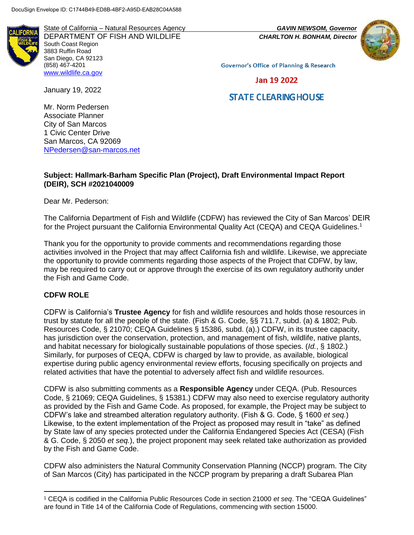State of California – Natural Resources Agency *GAVIN NEWSOM, Governor* DEPARTMENT OF FISH AND WILDLIFE *CHARLTON H. BONHAM, Director*  South Coast Region 3883 Ruffin Road San Diego, CA 92123 (858) 467-4201 [www.wildlife.ca.gov](http://www.wildlife.ca.gov/)



**Governor's Office of Planning & Research** 

Jan 19 2022

# **STATE CLEARING HOUSE**

Mr. Norm Pedersen

January 19, 2022

Associate Planner City of San Marcos 1 Civic Center Drive San Marcos, CA 92069 [NPedersen@san-marcos.net](mailto:NPedersen@san-marcos.net)

# **Subject: Hallmark-Barham Specific Plan (Project), Draft Environmental Impact Report (DEIR), SCH #2021040009**

Dear Mr. Pederson:

The California Department of Fish and Wildlife (CDFW) has reviewed the City of San Marcos' DEIR for the Project pursuant the California Environmental Quality Act (CEQA) and CEQA Guidelines.<sup>1</sup>

Thank you for the opportunity to provide comments and recommendations regarding those activities involved in the Project that may affect California fish and wildlife. Likewise, we appreciate the opportunity to provide comments regarding those aspects of the Project that CDFW, by law, may be required to carry out or approve through the exercise of its own regulatory authority under the Fish and Game Code.

# **CDFW ROLE**

l

CDFW is California's **Trustee Agency** for fish and wildlife resources and holds those resources in trust by statute for all the people of the state. (Fish & G. Code, §§ 711.7, subd. (a) & 1802; Pub. Resources Code, § 21070; CEQA Guidelines § 15386, subd. (a).) CDFW, in its trustee capacity, has jurisdiction over the conservation, protection, and management of fish, wildlife, native plants, and habitat necessary for biologically sustainable populations of those species. (*Id.*, § 1802.) Similarly, for purposes of CEQA, CDFW is charged by law to provide, as available, biological expertise during public agency environmental review efforts, focusing specifically on projects and related activities that have the potential to adversely affect fish and wildlife resources.

CDFW is also submitting comments as a **Responsible Agency** under CEQA. (Pub. Resources Code, § 21069; CEQA Guidelines, § 15381.) CDFW may also need to exercise regulatory authority as provided by the Fish and Game Code. As proposed, for example, the Project may be subject to CDFW's lake and streambed alteration regulatory authority. (Fish & G. Code, § 1600 *et seq.*) Likewise, to the extent implementation of the Project as proposed may result in "take" as defined by State law of any species protected under the California Endangered Species Act (CESA) (Fish & G. Code, § 2050 *et seq.*), the project proponent may seek related take authorization as provided by the Fish and Game Code.

CDFW also administers the Natural Community Conservation Planning (NCCP) program. The City of San Marcos (City) has participated in the NCCP program by preparing a draft Subarea Plan

<sup>1</sup> CEQA is codified in the California Public Resources Code in section 21000 *et seq*. The "CEQA Guidelines" are found in Title 14 of the California Code of Regulations, commencing with section 15000.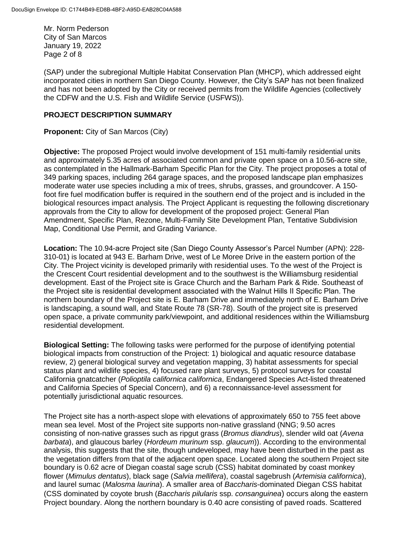Mr. Norm Pederson City of San Marcos January 19, 2022 Page 2 of 8

(SAP) under the subregional Multiple Habitat Conservation Plan (MHCP), which addressed eight incorporated cities in northern San Diego County. However, the City's SAP has not been finalized and has not been adopted by the City or received permits from the Wildlife Agencies (collectively the CDFW and the U.S. Fish and Wildlife Service (USFWS)).

#### **PROJECT DESCRIPTION SUMMARY**

**Proponent:** City of San Marcos (City)

**Objective:** The proposed Project would involve development of 151 multi-family residential units and approximately 5.35 acres of associated common and private open space on a 10.56-acre site, as contemplated in the Hallmark-Barham Specific Plan for the City. The project proposes a total of 349 parking spaces, including 264 garage spaces, and the proposed landscape plan emphasizes moderate water use species including a mix of trees, shrubs, grasses, and groundcover. A 150 foot fire fuel modification buffer is required in the southern end of the project and is included in the biological resources impact analysis. The Project Applicant is requesting the following discretionary approvals from the City to allow for development of the proposed project: General Plan Amendment, Specific Plan, Rezone, Multi-Family Site Development Plan, Tentative Subdivision Map, Conditional Use Permit, and Grading Variance.

**Location:** The 10.94-acre Project site (San Diego County Assessor's Parcel Number (APN): 228- 310-01) is located at 943 E. Barham Drive, west of Le Moree Drive in the eastern portion of the City. The Project vicinity is developed primarily with residential uses. To the west of the Project is the Crescent Court residential development and to the southwest is the Williamsburg residential development. East of the Project site is Grace Church and the Barham Park & Ride. Southeast of the Project site is residential development associated with the Walnut Hills II Specific Plan. The northern boundary of the Project site is E. Barham Drive and immediately north of E. Barham Drive is landscaping, a sound wall, and State Route 78 (SR-78). South of the project site is preserved open space, a private community park/viewpoint, and additional residences within the Williamsburg residential development.

**Biological Setting:** The following tasks were performed for the purpose of identifying potential biological impacts from construction of the Project: 1) biological and aquatic resource database review, 2) general biological survey and vegetation mapping, 3) habitat assessments for special status plant and wildlife species, 4) focused rare plant surveys, 5) protocol surveys for coastal California gnatcatcher (*Polioptila californica californica*, Endangered Species Act-listed threatened and California Species of Special Concern), and 6) a reconnaissance-level assessment for potentially jurisdictional aquatic resources.

The Project site has a north-aspect slope with elevations of approximately 650 to 755 feet above mean sea level. Most of the Project site supports non-native grassland (NNG; 9.50 acres consisting of non-native grasses such as ripgut grass (*Bromus diandrus*), slender wild oat (*Avena barbata*), and glaucous barley (*Hordeum murinum* ssp. *glaucum*)). According to the environmental analysis, this suggests that the site, though undeveloped, may have been disturbed in the past as the vegetation differs from that of the adjacent open space. Located along the southern Project site boundary is 0.62 acre of Diegan coastal sage scrub (CSS) habitat dominated by coast monkey flower (*Mimulus dentatus*), black sage (*Salvia mellifera*), coastal sagebrush (*Artemisia californica*), and laurel sumac (*Malosma laurina*). A smaller area of *Baccharis*-dominated Diegan CSS habitat (CSS dominated by coyote brush (*Baccharis pilularis* ssp. *consanguinea*) occurs along the eastern Project boundary. Along the northern boundary is 0.40 acre consisting of paved roads. Scattered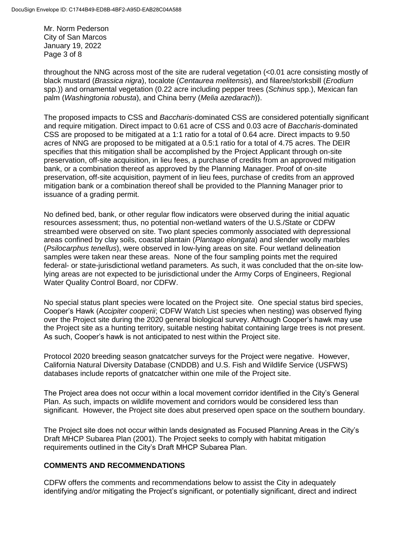Mr. Norm Pederson City of San Marcos January 19, 2022 Page 3 of 8

throughout the NNG across most of the site are ruderal vegetation (<0.01 acre consisting mostly of black mustard (*Brassica nigra*), tocalote (*Centaurea melitensis*), and filaree/storksbill (*Erodium*  spp.)) and ornamental vegetation (0.22 acre including pepper trees (*Schinus* spp.), Mexican fan palm (*Washingtonia robusta*), and China berry (*Melia azedarach*)).

The proposed impacts to CSS and *Baccharis*-dominated CSS are considered potentially significant and require mitigation. Direct impact to 0.61 acre of CSS and 0.03 acre of *Baccharis*-dominated CSS are proposed to be mitigated at a 1:1 ratio for a total of 0.64 acre. Direct impacts to 9.50 acres of NNG are proposed to be mitigated at a 0.5:1 ratio for a total of 4.75 acres. The DEIR specifies that this mitigation shall be accomplished by the Project Applicant through on-site preservation, off-site acquisition, in lieu fees, a purchase of credits from an approved mitigation bank, or a combination thereof as approved by the Planning Manager. Proof of on-site preservation, off-site acquisition, payment of in lieu fees, purchase of credits from an approved mitigation bank or a combination thereof shall be provided to the Planning Manager prior to issuance of a grading permit.

No defined bed, bank, or other regular flow indicators were observed during the initial aquatic resources assessment; thus, no potential non-wetland waters of the U.S./State or CDFW streambed were observed on site. Two plant species commonly associated with depressional areas confined by clay soils, coastal plantain (*Plantago elongata*) and slender woolly marbles (*Psilocarphus tenellus*), were observed in low-lying areas on site. Four wetland delineation samples were taken near these areas. None of the four sampling points met the required federal- or state-jurisdictional wetland parameters. As such, it was concluded that the on-site lowlying areas are not expected to be jurisdictional under the Army Corps of Engineers, Regional Water Quality Control Board, nor CDFW.

No special status plant species were located on the Project site. One special status bird species, Cooper's Hawk (Acc*ipiter cooperii*; CDFW Watch List species when nesting) was observed flying over the Project site during the 2020 general biological survey. Although Cooper's hawk may use the Project site as a hunting territory, suitable nesting habitat containing large trees is not present. As such, Cooper's hawk is not anticipated to nest within the Project site.

Protocol 2020 breeding season gnatcatcher surveys for the Project were negative. However, California Natural Diversity Database (CNDDB) and U.S. Fish and Wildlife Service (USFWS) databases include reports of gnatcatcher within one mile of the Project site.

The Project area does not occur within a local movement corridor identified in the City's General Plan. As such, impacts on wildlife movement and corridors would be considered less than significant. However, the Project site does abut preserved open space on the southern boundary.

The Project site does not occur within lands designated as Focused Planning Areas in the City's Draft MHCP Subarea Plan (2001). The Project seeks to comply with habitat mitigation requirements outlined in the City's Draft MHCP Subarea Plan.

# **COMMENTS AND RECOMMENDATIONS**

CDFW offers the comments and recommendations below to assist the City in adequately identifying and/or mitigating the Project's significant, or potentially significant, direct and indirect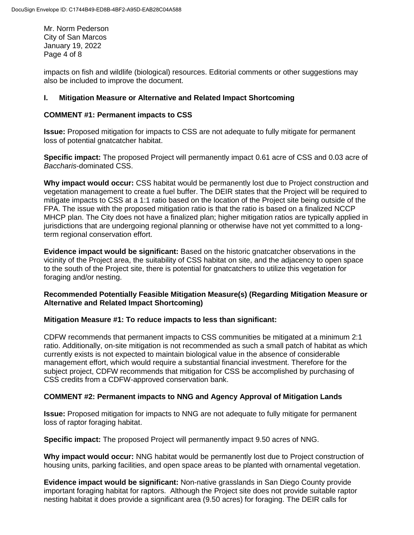Mr. Norm Pederson City of San Marcos January 19, 2022 Page 4 of 8

impacts on fish and wildlife (biological) resources. Editorial comments or other suggestions may also be included to improve the document.

# **I. Mitigation Measure or Alternative and Related Impact Shortcoming**

# **COMMENT #1: Permanent impacts to CSS**

**Issue:** Proposed mitigation for impacts to CSS are not adequate to fully mitigate for permanent loss of potential gnatcatcher habitat.

**Specific impact:** The proposed Project will permanently impact 0.61 acre of CSS and 0.03 acre of *Baccharis*-dominated CSS.

**Why impact would occur:** CSS habitat would be permanently lost due to Project construction and vegetation management to create a fuel buffer. The DEIR states that the Project will be required to mitigate impacts to CSS at a 1:1 ratio based on the location of the Project site being outside of the FPA. The issue with the proposed mitigation ratio is that the ratio is based on a finalized NCCP MHCP plan. The City does not have a finalized plan; higher mitigation ratios are typically applied in jurisdictions that are undergoing regional planning or otherwise have not yet committed to a longterm regional conservation effort.

**Evidence impact would be significant:** Based on the historic gnatcatcher observations in the vicinity of the Project area, the suitability of CSS habitat on site, and the adjacency to open space to the south of the Project site, there is potential for gnatcatchers to utilize this vegetation for foraging and/or nesting.

# **Recommended Potentially Feasible Mitigation Measure(s) (Regarding Mitigation Measure or Alternative and Related Impact Shortcoming)**

# **Mitigation Measure #1: To reduce impacts to less than significant:**

CDFW recommends that permanent impacts to CSS communities be mitigated at a minimum 2:1 ratio. Additionally, on-site mitigation is not recommended as such a small patch of habitat as which currently exists is not expected to maintain biological value in the absence of considerable management effort, which would require a substantial financial investment. Therefore for the subject project, CDFW recommends that mitigation for CSS be accomplished by purchasing of CSS credits from a CDFW-approved conservation bank.

# **COMMENT #2: Permanent impacts to NNG and Agency Approval of Mitigation Lands**

**Issue:** Proposed mitigation for impacts to NNG are not adequate to fully mitigate for permanent loss of raptor foraging habitat.

**Specific impact:** The proposed Project will permanently impact 9.50 acres of NNG.

**Why impact would occur:** NNG habitat would be permanently lost due to Project construction of housing units, parking facilities, and open space areas to be planted with ornamental vegetation.

**Evidence impact would be significant:** Non-native grasslands in San Diego County provide important foraging habitat for raptors. Although the Project site does not provide suitable raptor nesting habitat it does provide a significant area (9.50 acres) for foraging. The DEIR calls for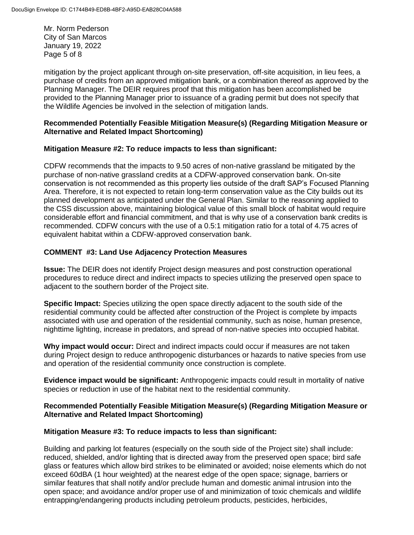Mr. Norm Pederson City of San Marcos January 19, 2022 Page 5 of 8

mitigation by the project applicant through on-site preservation, off-site acquisition, in lieu fees, a purchase of credits from an approved mitigation bank, or a combination thereof as approved by the Planning Manager. The DEIR requires proof that this mitigation has been accomplished be provided to the Planning Manager prior to issuance of a grading permit but does not specify that the Wildlife Agencies be involved in the selection of mitigation lands.

#### **Recommended Potentially Feasible Mitigation Measure(s) (Regarding Mitigation Measure or Alternative and Related Impact Shortcoming)**

# **Mitigation Measure #2: To reduce impacts to less than significant:**

CDFW recommends that the impacts to 9.50 acres of non-native grassland be mitigated by the purchase of non-native grassland credits at a CDFW-approved conservation bank. On-site conservation is not recommended as this property lies outside of the draft SAP's Focused Planning Area. Therefore, it is not expected to retain long-term conservation value as the City builds out its planned development as anticipated under the General Plan. Similar to the reasoning applied to the CSS discussion above, maintaining biological value of this small block of habitat would require considerable effort and financial commitment, and that is why use of a conservation bank credits is recommended. CDFW concurs with the use of a 0.5:1 mitigation ratio for a total of 4.75 acres of equivalent habitat within a CDFW-approved conservation bank.

# **COMMENT #3: Land Use Adjacency Protection Measures**

**Issue:** The DEIR does not identify Project design measures and post construction operational procedures to reduce direct and indirect impacts to species utilizing the preserved open space to adjacent to the southern border of the Project site.

**Specific Impact:** Species utilizing the open space directly adjacent to the south side of the residential community could be affected after construction of the Project is complete by impacts associated with use and operation of the residential community, such as noise, human presence, nighttime lighting, increase in predators, and spread of non-native species into occupied habitat.

**Why impact would occur:** Direct and indirect impacts could occur if measures are not taken during Project design to reduce anthropogenic disturbances or hazards to native species from use and operation of the residential community once construction is complete.

**Evidence impact would be significant:** Anthropogenic impacts could result in mortality of native species or reduction in use of the habitat next to the residential community.

#### **Recommended Potentially Feasible Mitigation Measure(s) (Regarding Mitigation Measure or Alternative and Related Impact Shortcoming)**

#### **Mitigation Measure #3: To reduce impacts to less than significant:**

Building and parking lot features (especially on the south side of the Project site) shall include: reduced, shielded, and/or lighting that is directed away from the preserved open space; bird safe glass or features which allow bird strikes to be eliminated or avoided; noise elements which do not exceed 60dBA (1 hour weighted) at the nearest edge of the open space; signage, barriers or similar features that shall notify and/or preclude human and domestic animal intrusion into the open space; and avoidance and/or proper use of and minimization of toxic chemicals and wildlife entrapping/endangering products including petroleum products, pesticides, herbicides,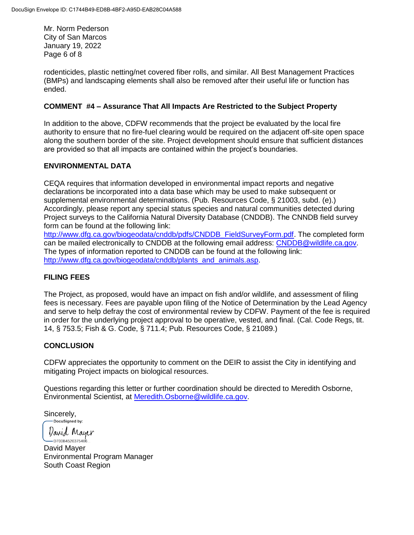Mr. Norm Pederson City of San Marcos January 19, 2022 Page 6 of 8

rodenticides, plastic netting/net covered fiber rolls, and similar. All Best Management Practices (BMPs) and landscaping elements shall also be removed after their useful life or function has ended.

#### **COMMENT #4 – Assurance That All Impacts Are Restricted to the Subject Property**

In addition to the above, CDFW recommends that the project be evaluated by the local fire authority to ensure that no fire-fuel clearing would be required on the adjacent off-site open space along the southern border of the site. Project development should ensure that sufficient distances are provided so that all impacts are contained within the project's boundaries.

#### **ENVIRONMENTAL DATA**

CEQA requires that information developed in environmental impact reports and negative declarations be incorporated into a data base which may be used to make subsequent or supplemental environmental determinations. (Pub. Resources Code, § 21003, subd. (e).) Accordingly, please report any special status species and natural communities detected during Project surveys to the California Natural Diversity Database (CNDDB). The CNNDB field survey form can be found at the following link:

[http://www.dfg.ca.gov/biogeodata/cnddb/pdfs/CNDDB\\_FieldSurveyForm.pdf.](http://www.dfg.ca.gov/biogeodata/cnddb/pdfs/CNDDB_FieldSurveyForm.pdf) The completed form can be mailed electronically to CNDDB at the following email address: [CNDDB@wildlife.ca.gov.](mailto:cnddb@dfg.ca.gov) The types of information reported to CNDDB can be found at the following link: [http://www.dfg.ca.gov/biogeodata/cnddb/plants\\_and\\_animals.asp.](http://www.dfg.ca.gov/biogeodata/cnddb/plants_and_animals.asp)

#### **FILING FEES**

The Project, as proposed, would have an impact on fish and/or wildlife, and assessment of filing fees is necessary. Fees are payable upon filing of the Notice of Determination by the Lead Agency and serve to help defray the cost of environmental review by CDFW. Payment of the fee is required in order for the underlying project approval to be operative, vested, and final. (Cal. Code Regs, tit. 14, § 753.5; Fish & G. Code, § 711.4; Pub. Resources Code, § 21089.)

# **CONCLUSION**

CDFW appreciates the opportunity to comment on the DEIR to assist the City in identifying and mitigating Project impacts on biological resources.

Questions regarding this letter or further coordination should be directed to Meredith Osborne, Environmental Scientist, at [Meredith.Osborne@wildlife.ca.gov.](mailto:Jessie.Lane@wildlife.ca.gov)

Sincerely,<br> **Docusigned** by:

*Varid* Mayer

-D700B4520375406.. David Mayer Environmental Program Manager South Coast Region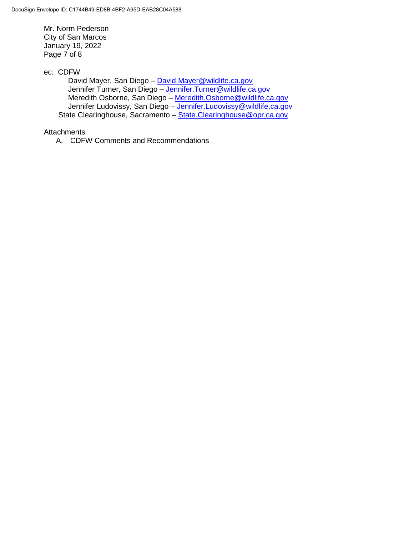Mr. Norm Pederson City of San Marcos January 19, 2022 Page 7 of 8

ec: CDFW

David Mayer, San Diego - [David.Mayer@wildlife.ca.gov](mailto:David.Mayer@wildlife.ca.gov) Jennifer Turner, San Diego – [Jennifer.Turner@wildlife.ca.gov](mailto:Jennifer.Turner@wildlife.ca.gov) Meredith Osborne, San Diego – [Meredith.Osborne@wildlife.ca.gov](mailto:Meredith.Osborne@wildlife.ca.gov) Jennifer Ludovissy, San Diego - [Jennifer.Ludovissy@wildlife.ca.gov](mailto:Jennifer.Ludovissy@wildlife.ca.gov) State Clearinghouse, Sacramento – [State.Clearinghouse@opr.ca.gov](mailto:State.Clearinghouse@opr.ca.gov)

**Attachments** 

A. CDFW Comments and Recommendations